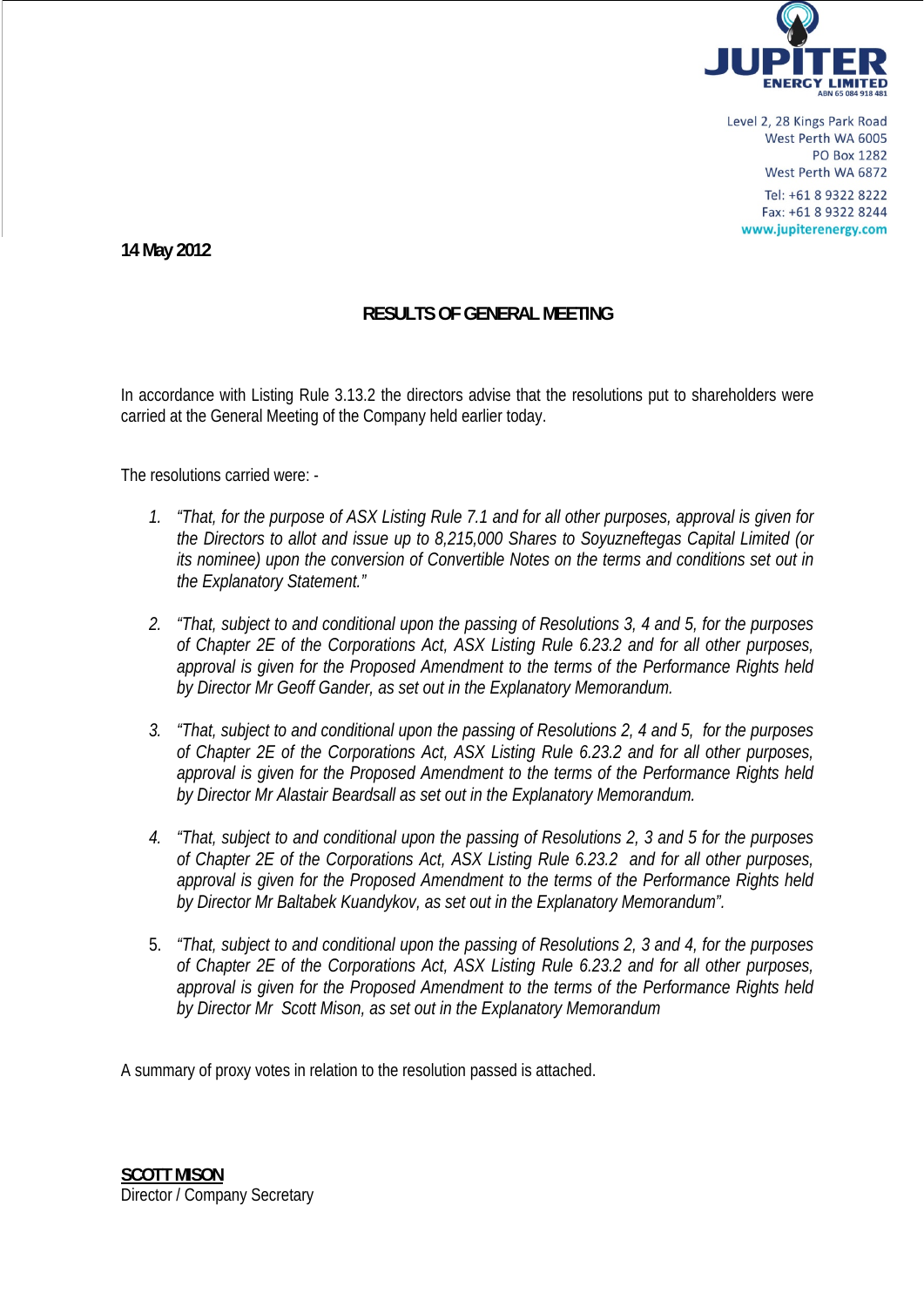

Level 2, 28 Kings Park Road West Perth WA 6005 **PO Box 1282** West Perth WA 6872 Tel: +61 8 9322 8222 Fax: +61 8 9322 8244 www.jupiterenergy.com

**14 May 2012** 

## **RESULTS OF GENERAL MEETING**

In accordance with Listing Rule 3.13.2 the directors advise that the resolutions put to shareholders were carried at the General Meeting of the Company held earlier today.

The resolutions carried were: -

- *1. "That, for the purpose of ASX Listing Rule 7.1 and for all other purposes, approval is given for the Directors to allot and issue up to 8,215,000 Shares to Soyuzneftegas Capital Limited (or its nominee) upon the conversion of Convertible Notes on the terms and conditions set out in the Explanatory Statement."*
- *2. "That, subject to and conditional upon the passing of Resolutions 3, 4 and 5, for the purposes of Chapter 2E of the Corporations Act, ASX Listing Rule 6.23.2 and for all other purposes, approval is given for the Proposed Amendment to the terms of the Performance Rights held by Director Mr Geoff Gander, as set out in the Explanatory Memorandum.*
- *3. "That, subject to and conditional upon the passing of Resolutions 2, 4 and 5, for the purposes of Chapter 2E of the Corporations Act, ASX Listing Rule 6.23.2 and for all other purposes, approval is given for the Proposed Amendment to the terms of the Performance Rights held by Director Mr Alastair Beardsall as set out in the Explanatory Memorandum.*
- *4. "That, subject to and conditional upon the passing of Resolutions 2, 3 and 5 for the purposes of Chapter 2E of the Corporations Act, ASX Listing Rule 6.23.2 and for all other purposes, approval is given for the Proposed Amendment to the terms of the Performance Rights held by Director Mr Baltabek Kuandykov, as set out in the Explanatory Memorandum".*
- 5. *"That, subject to and conditional upon the passing of Resolutions 2, 3 and 4, for the purposes of Chapter 2E of the Corporations Act, ASX Listing Rule 6.23.2 and for all other purposes, approval is given for the Proposed Amendment to the terms of the Performance Rights held by Director Mr Scott Mison, as set out in the Explanatory Memorandum*

A summary of proxy votes in relation to the resolution passed is attached.